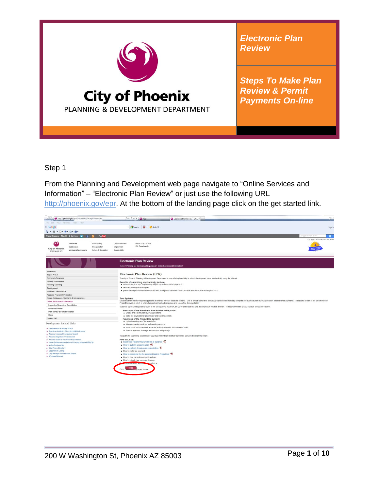

*Steps To Make Plan Review & Permit Payments On-line*

Step 1

From the Planning and Development web page navigate to "Online Services and Information" – "Electronic Plan Review" or just use the following URL http://phoenix.gov/epr. At the bottom of the landing page click on the get started link.

| (2) http://phoenix.gov/pdd/onlineservices/ept/index.html |                                                        |                      |                                      | $0 - 2c \times 10000$                                                                                                                                                                                                                                                                                                           | Electronic Plan Review - Off                                                                                                                                                       |  | a.                                 |  |
|----------------------------------------------------------|--------------------------------------------------------|----------------------|--------------------------------------|---------------------------------------------------------------------------------------------------------------------------------------------------------------------------------------------------------------------------------------------------------------------------------------------------------------------------------|------------------------------------------------------------------------------------------------------------------------------------------------------------------------------------|--|------------------------------------|--|
| File Edit View Favorites Tools Help                      |                                                        |                      |                                      |                                                                                                                                                                                                                                                                                                                                 |                                                                                                                                                                                    |  |                                    |  |
| $x$ Google                                               |                                                        |                      |                                      | - M Search - 20 - AutoFill -                                                                                                                                                                                                                                                                                                    |                                                                                                                                                                                    |  | Sign In                            |  |
| <b>Q . A . Q . O . Q .</b>                               |                                                        |                      |                                      |                                                                                                                                                                                                                                                                                                                                 |                                                                                                                                                                                    |  |                                    |  |
| Phone Directory Map It! E-Services                       |                                                        | <b>You Tube</b>      |                                      |                                                                                                                                                                                                                                                                                                                                 |                                                                                                                                                                                    |  | calc" Costorn Search<br>$\alpha$   |  |
|                                                          |                                                        |                      |                                      |                                                                                                                                                                                                                                                                                                                                 |                                                                                                                                                                                    |  | 63F Fair   9:31 AM   Oct. 21, 2013 |  |
|                                                          | Residents                                              | Public Safety        | City Government                      | Mayor / City Council                                                                                                                                                                                                                                                                                                            |                                                                                                                                                                                    |  |                                    |  |
|                                                          | <b>Businesses</b>                                      | Transportation       | Employment                           | City Departments                                                                                                                                                                                                                                                                                                                |                                                                                                                                                                                    |  |                                    |  |
| <b>City of Phoenix</b>                                   | Visitors & Newcomers                                   | Culture & Recreation | Sustainability                       |                                                                                                                                                                                                                                                                                                                                 |                                                                                                                                                                                    |  |                                    |  |
| OFFICIAL WEB SITE                                        |                                                        |                      |                                      |                                                                                                                                                                                                                                                                                                                                 |                                                                                                                                                                                    |  |                                    |  |
|                                                          |                                                        |                      |                                      |                                                                                                                                                                                                                                                                                                                                 |                                                                                                                                                                                    |  |                                    |  |
|                                                          |                                                        |                      |                                      | <b>Electronic Plan Review</b>                                                                                                                                                                                                                                                                                                   |                                                                                                                                                                                    |  |                                    |  |
|                                                          |                                                        |                      |                                      |                                                                                                                                                                                                                                                                                                                                 | Home > Planning and Development Department > Online Services and Information >                                                                                                     |  |                                    |  |
|                                                          |                                                        |                      |                                      |                                                                                                                                                                                                                                                                                                                                 |                                                                                                                                                                                    |  |                                    |  |
| About P&D                                                |                                                        |                      |                                      |                                                                                                                                                                                                                                                                                                                                 |                                                                                                                                                                                    |  |                                    |  |
| Topics A to Z                                            |                                                        |                      |                                      | <b>Electronic Plan Review (EPR)</b>                                                                                                                                                                                                                                                                                             |                                                                                                                                                                                    |  |                                    |  |
| Services & Programs                                      |                                                        |                      |                                      |                                                                                                                                                                                                                                                                                                                                 | The city of Phoenix Planning & Development Department is now offering the ability to submit development plans electronically using the Internet                                    |  |                                    |  |
| <b>Historic Preservation</b>                             |                                                        |                      |                                      | Benefits of submitting electronically include:                                                                                                                                                                                                                                                                                  |                                                                                                                                                                                    |  |                                    |  |
| Planning & Zoning                                        |                                                        |                      |                                      | reduced printing of hard copies                                                                                                                                                                                                                                                                                                 | reduced physical trips for plan drop offipick up and associated payments                                                                                                           |  |                                    |  |
| Development                                              |                                                        |                      |                                      |                                                                                                                                                                                                                                                                                                                                 |                                                                                                                                                                                    |  |                                    |  |
| Boards & Commissions                                     |                                                        |                      |                                      | potentially improved review turnaround time through more efficient communication non-linear plan review processes                                                                                                                                                                                                               |                                                                                                                                                                                    |  |                                    |  |
| Fees and Financial Information                           |                                                        |                      |                                      |                                                                                                                                                                                                                                                                                                                                 |                                                                                                                                                                                    |  |                                    |  |
| Codes, Ordinances, Standards & Interpretation            |                                                        |                      | Two Systems                          |                                                                                                                                                                                                                                                                                                                                 |                                                                                                                                                                                    |  |                                    |  |
| Online Services and Information                          |                                                        |                      |                                      | Electronic Plan Review requires applicants to interact with two separate systems. One is a WEB portal that allows applicants to electronically complete and submit a plan review application and make fee payments. The second<br>ProjectDox system which is where the applicant uploads drawings and supporting documentation. |                                                                                                                                                                                    |  |                                    |  |
| Inspection Request or Cancellation                       |                                                        |                      |                                      |                                                                                                                                                                                                                                                                                                                                 | Separate logins are required for each of the two systems; however, the same email address and password can be used for both. The basic functions of each system are outlined below |  |                                    |  |
| <b>Online Permitting</b>                                 |                                                        |                      |                                      |                                                                                                                                                                                                                                                                                                                                 |                                                                                                                                                                                    |  |                                    |  |
| Plan Review & Permit Research                            |                                                        |                      |                                      | Functions of the Electronic Plan Review WEB portal:<br>Create and submit plan review applications                                                                                                                                                                                                                               |                                                                                                                                                                                    |  |                                    |  |
| <b>Maps</b>                                              |                                                        |                      |                                      | Make fee payments for plan review and building permits                                                                                                                                                                                                                                                                          |                                                                                                                                                                                    |  |                                    |  |
| Contact P&D                                              |                                                        |                      |                                      | Functions of the ProjectDox system:                                                                                                                                                                                                                                                                                             |                                                                                                                                                                                    |  |                                    |  |
|                                                          |                                                        |                      |                                      | Upload drawings and documentation                                                                                                                                                                                                                                                                                               |                                                                                                                                                                                    |  |                                    |  |
| Development Related Links                                |                                                        |                      |                                      | Manage drawing markups and drawing versions                                                                                                                                                                                                                                                                                     |                                                                                                                                                                                    |  |                                    |  |
| » Development Advisory Board                             |                                                        |                      |                                      | Email notifications between applicant and city prompted by completing tasks                                                                                                                                                                                                                                                     |                                                                                                                                                                                    |  |                                    |  |
| > American Institute of Architects(AIA)-Arizona          |                                                        |                      |                                      | Provide approved drawings for download and printing                                                                                                                                                                                                                                                                             |                                                                                                                                                                                    |  |                                    |  |
| » Arizona Licensed Contractor Search                     |                                                        |                      |                                      |                                                                                                                                                                                                                                                                                                                                 | To qualify for submitting electronically you must follow the Submittal Guidelines contained in the links below.                                                                    |  |                                    |  |
| » Arizona Registrar of Contractors                       |                                                        |                      |                                      |                                                                                                                                                                                                                                                                                                                                 |                                                                                                                                                                                    |  |                                    |  |
| » Arizona Board of Technical Registration                |                                                        |                      | How to Links:                        |                                                                                                                                                                                                                                                                                                                                 |                                                                                                                                                                                    |  |                                    |  |
|                                                          | > Home Builders Association of Central Arizona (HBACA) |                      |                                      | Electronic Plan Review workflow at a glance TA                                                                                                                                                                                                                                                                                  |                                                                                                                                                                                    |  |                                    |  |
| » Valley Partnership                                     |                                                        |                      | How to submit an application 13-     |                                                                                                                                                                                                                                                                                                                                 |                                                                                                                                                                                    |  |                                    |  |
|                                                          | » City Phone Directory                                 |                      | How to upload drawings/documentation |                                                                                                                                                                                                                                                                                                                                 |                                                                                                                                                                                    |  |                                    |  |
| » Department Listing                                     |                                                        |                      |                                      | How to make fee payment                                                                                                                                                                                                                                                                                                         |                                                                                                                                                                                    |  |                                    |  |
| » City Manager Performance Report                        |                                                        |                      |                                      | How to complete the fee payment task in ProjectDox [A]                                                                                                                                                                                                                                                                          |                                                                                                                                                                                    |  |                                    |  |
| » Wireless Network                                       |                                                        |                      |                                      | How to view correction request markups                                                                                                                                                                                                                                                                                          |                                                                                                                                                                                    |  |                                    |  |
|                                                          |                                                        |                      |                                      | Flow to submit your corrected drawings                                                                                                                                                                                                                                                                                          |                                                                                                                                                                                    |  |                                    |  |
|                                                          |                                                        |                      |                                      | ontact us at:                                                                                                                                                                                                                                                                                                                   |                                                                                                                                                                                    |  |                                    |  |
|                                                          |                                                        |                      |                                      |                                                                                                                                                                                                                                                                                                                                 |                                                                                                                                                                                    |  |                                    |  |
|                                                          |                                                        |                      | Click 3                              | <b>EPR</b><br>to get started                                                                                                                                                                                                                                                                                                    |                                                                                                                                                                                    |  |                                    |  |
|                                                          |                                                        |                      |                                      |                                                                                                                                                                                                                                                                                                                                 |                                                                                                                                                                                    |  |                                    |  |
|                                                          |                                                        |                      |                                      |                                                                                                                                                                                                                                                                                                                                 |                                                                                                                                                                                    |  |                                    |  |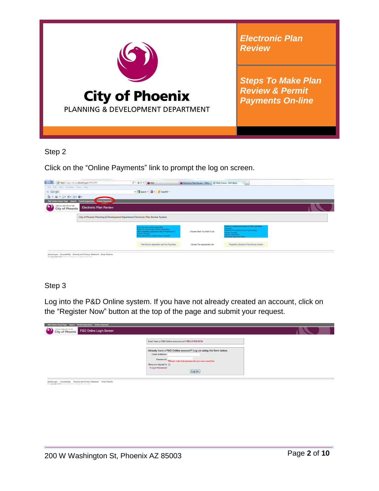

*Steps To Make Plan Review & Permit Payments On-line*

Step 2

Click on the "Online Payments" link to prompt the log on screen.

| https://apps-secure.phoenix.gov/PDD/EPR                                                   |                                                                                 | $\rho - \triangle C \times \square$ PDD                                                                                                                                                             | D Electronic Plan Review - Offici 2 P&D Online - EPR (Beta) | $\times$                                                                                                                                                                          |  |
|-------------------------------------------------------------------------------------------|---------------------------------------------------------------------------------|-----------------------------------------------------------------------------------------------------------------------------------------------------------------------------------------------------|-------------------------------------------------------------|-----------------------------------------------------------------------------------------------------------------------------------------------------------------------------------|--|
| File Edit View Favorites Tools Help                                                       |                                                                                 |                                                                                                                                                                                                     |                                                             |                                                                                                                                                                                   |  |
| $\times$ Google                                                                           |                                                                                 | ▼ Search ▼ - AutoFill ▼                                                                                                                                                                             |                                                             |                                                                                                                                                                                   |  |
| $\mathbf{A}$ + $\mathbf{B}$ + $\mathbf{D}$ + $\mathbf{B}$ + $\mathbf{D}$ + $\mathbf{D}$ + |                                                                                 |                                                                                                                                                                                                     |                                                             |                                                                                                                                                                                   |  |
| P&D Online Home Page Search Permit Inspections                                            | Online Payments                                                                 |                                                                                                                                                                                                     |                                                             |                                                                                                                                                                                   |  |
| $\bullet$<br>OFFICIAL WEB SITE OF THE<br><b>City of Phoenix</b>                           | <b>Electronic Plan Review</b>                                                   |                                                                                                                                                                                                     |                                                             |                                                                                                                                                                                   |  |
|                                                                                           | City of Phoenix Planning & Development Department Electronic Plan Review System |                                                                                                                                                                                                     |                                                             |                                                                                                                                                                                   |  |
|                                                                                           |                                                                                 | Start new plan review application<br>Return to a saved plan review application<br>After completing application link to ProjectDox to<br>upload drawings<br>Make payment for a plan review or permit | Choose What You Want To Do                                  | Return to established project to finish uploading<br>drawings<br>Submit EPR project to city for processing<br>Newer markups<br><b>bload corrections</b><br>ownload approved plans |  |
|                                                                                           |                                                                                 | Plan Review Application and Fee Payments                                                                                                                                                            | <b>Choose The Appropriate Link</b>                          | ProjectDox Electronic Plan Review System                                                                                                                                          |  |
| © Convright 2013 City of Phoenix, all rights reserved                                     | phoenix.gov Accessibility Security and Privacy Statement Shop Phoenix           |                                                                                                                                                                                                     |                                                             |                                                                                                                                                                                   |  |

# Step 3

Log into the P&D Online system. If you have not already created an account, click on the "Register Now" button at the top of the page and submit your request.

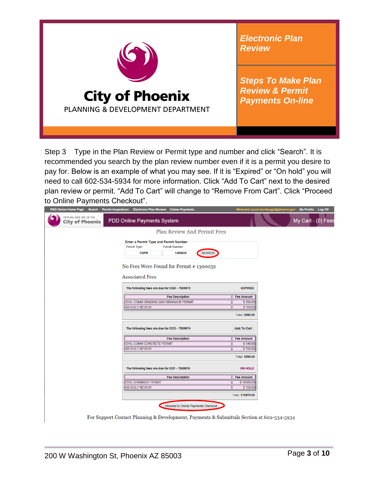

*Steps To Make Plan Review & Permit Payments On-line*

Step 3 Type in the Plan Review or Permit type and number and click "Search". It is recommended you search by the plan review number even if it is a permit you desire to pay for. Below is an example of what you may see. If it is "Expired" or "On hold" you will need to call 602-534-5934 for more information. Click "Add To Cart" next to the desired plan review or permit. "Add To Cart" will change to "Remove From Cart". Click "Proceed to Online Payments Checkout".

| P&D Online Home Page Search                        | Permit Inspections Electronic Plan Review Online Payments                                                                 |                    | Welcome! jason.turnbaugh@phoenix.gov | My Profile Log Off |
|----------------------------------------------------|---------------------------------------------------------------------------------------------------------------------------|--------------------|--------------------------------------|--------------------|
| OFFICIAL WEB SITE OF THE<br><b>City of Phoenix</b> | <b>PDD Online Payments System</b>                                                                                         |                    |                                      | My Cart - (0) Fees |
|                                                    | <b>Plan Review And Permit Fees</b>                                                                                        |                    |                                      |                    |
|                                                    | <b>Enter a Permit Type and Permit Number</b><br>Permit Type:<br>Permit Number:<br><b>SEARCH</b><br><b>CSPR</b><br>1300032 |                    |                                      |                    |
|                                                    | No Fees Were Found for Permit #1300032                                                                                    |                    |                                      |                    |
|                                                    | <b>Associated Fees</b>                                                                                                    |                    |                                      |                    |
|                                                    | The following fees are due for CGD - T559972                                                                              | <b>EXPIRED</b>     |                                      |                    |
|                                                    | <b>Fee Description</b>                                                                                                    | <b>Fee Amount</b>  |                                      |                    |
|                                                    | CIVIL COMM GRADING AND DRAINAGE PERMIT                                                                                    | \$700.00           |                                      |                    |
|                                                    | <b>AS-BUILT REVIEW</b>                                                                                                    | \$150.00           |                                      |                    |
|                                                    |                                                                                                                           | Total: \$850.00    |                                      |                    |
|                                                    | The following fees are due for CCO - T559974                                                                              | <b>Add To Cart</b> |                                      |                    |
|                                                    | <b>Fee Description</b>                                                                                                    | <b>Fee Amount</b>  |                                      |                    |
|                                                    | <b>CIVIL COMM CONCRETE PERMIT</b>                                                                                         | \$440.00           |                                      |                    |
|                                                    | <b>AS-BUILT REVIEW</b>                                                                                                    | \$150.00           |                                      |                    |
|                                                    |                                                                                                                           | Total: \$590.00    |                                      |                    |
|                                                    | The following fees are due for CDF - T559976                                                                              | <b>ON HOLD</b>     |                                      |                    |
|                                                    | <b>Fee Description</b>                                                                                                    | <b>Fee Amount</b>  |                                      |                    |
|                                                    | <b>CIVIL DRAINAGE PERMIT</b>                                                                                              | \$10820.00         |                                      |                    |
|                                                    | <b>AS-BUILT REVIEW</b>                                                                                                    | \$150.00           |                                      |                    |
|                                                    |                                                                                                                           | Total: \$10970.00  |                                      |                    |
|                                                    | Proceed to Online Payments Checkout                                                                                       |                    |                                      |                    |
|                                                    | For Support Contact Planning & Development, Payments & Submittals Section at 602-534-5934                                 |                    |                                      |                    |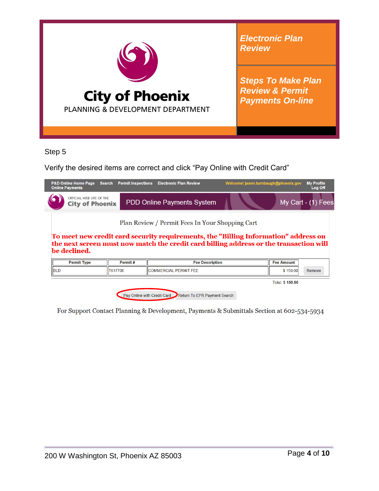

*Steps To Make Plan Review & Permit Payments On-line*

Step 5

Verify the desired items are correct and click "Pay Online with Credit Card"

| <b>P&amp;D Online Home Page</b><br><b>Online Payments</b>                                                                                                                                                                                        | <b>Permit Inspections</b><br><b>Search</b> | <b>Electronic Plan Review</b>     | Welcome! jason.turnbaugh@phoenix.gov | <b>My Profile</b>  | Log Off |  |
|--------------------------------------------------------------------------------------------------------------------------------------------------------------------------------------------------------------------------------------------------|--------------------------------------------|-----------------------------------|--------------------------------------|--------------------|---------|--|
| OFFICIAL WEB SITE OF THE<br><b>City of Phoenix</b>                                                                                                                                                                                               |                                            | <b>PDD Online Payments System</b> |                                      | My Cart - (1) Fees |         |  |
| Plan Review / Permit Fees In Your Shopping Cart<br>To meet new credit card security requirements, the "Billing Information" address on<br>the next screen must now match the credit card billing address or the transaction will<br>be declined. |                                            |                                   |                                      |                    |         |  |
| <b>Permit Type</b>                                                                                                                                                                                                                               | Permit#                                    | <b>Fee Description</b>            |                                      | <b>Fee Amount</b>  |         |  |
| <b>BLD</b>                                                                                                                                                                                                                                       | T617708                                    | <b>COMMERCIAL PERMIT FEE</b>      |                                      | \$150.00<br>Remove |         |  |
|                                                                                                                                                                                                                                                  |                                            |                                   |                                      | Total: \$ 150.00   |         |  |

Pay Online with Credit Card Return To EPR Payment Search

For Support Contact Planning & Development, Payments & Submittals Section at 602-534-5934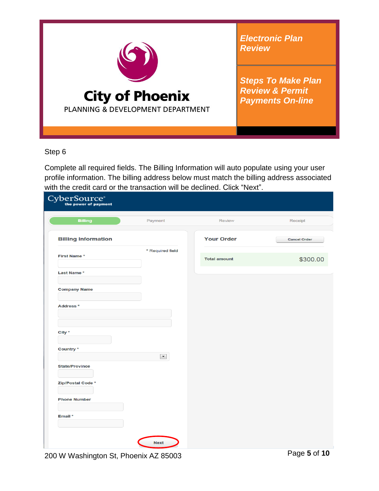

*Steps To Make Plan Review & Permit Payments On-line*

Step 6

Complete all required fields. The Billing Information will auto populate using your user profile information. The billing address below must match the billing address associated with the credit card or the transaction will be declined. Click "Next".

| <b>Billing</b>             | Payment             | Review              | Receipt             |
|----------------------------|---------------------|---------------------|---------------------|
| <b>Billing Information</b> |                     | <b>Your Order</b>   | <b>Cancel Order</b> |
| First Name*                | * Required field    | <b>Total amount</b> | \$300.00            |
| Last Name *                |                     |                     |                     |
| <b>Company Name</b>        |                     |                     |                     |
| Address *                  |                     |                     |                     |
| City $*$                   |                     |                     |                     |
| Country *                  | $\vert \cdot \vert$ |                     |                     |
| <b>State/Province</b>      |                     |                     |                     |
| Zip/Postal Code*           |                     |                     |                     |
| <b>Phone Number</b>        |                     |                     |                     |
| Email *                    |                     |                     |                     |

200 W Washington St, Phoenix AZ 85003 Page **5** of **10**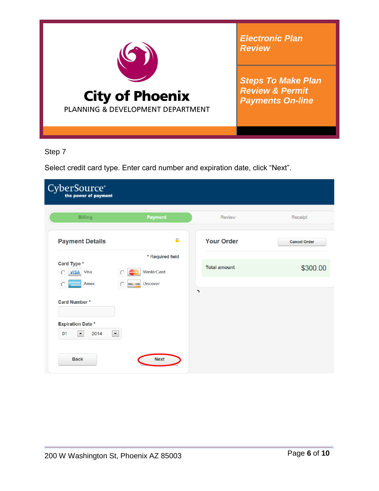

*Steps To Make Plan Review & Permit Payments On-line*

Step 7

Select credit card type. Enter card number and expiration date, click "Next".

|                               | CyberSource®<br>the power of payment                    |                                                                                                       |                     |                     |
|-------------------------------|---------------------------------------------------------|-------------------------------------------------------------------------------------------------------|---------------------|---------------------|
|                               | <b>Billing</b>                                          | <b>Payment</b>                                                                                        | <b>Review</b>       | Receipt             |
|                               | <b>Payment Details</b>                                  | $\mathbf{r}$                                                                                          | <b>Your Order</b>   | <b>Cancel Order</b> |
| Card Type *<br>C<br>$\bigcap$ | <b>VISA</b> Visa<br>WERKAN<br>EXPRESS<br>Amex           | * Required field<br><b>MasterCard</b><br>$\bigcap$<br><b>Discover</b><br><b>DISCOVER</b><br>$\subset$ | <b>Total amount</b> | \$300.00            |
|                               | <b>Card Number*</b>                                     |                                                                                                       | $\mathcal{L}$       |                     |
| 01                            | <b>Expiration Date*</b><br>2014<br>$\blacktriangledown$ | $\blacktriangledown$                                                                                  |                     |                     |
|                               | <b>Back</b>                                             | <b>Next</b>                                                                                           |                     |                     |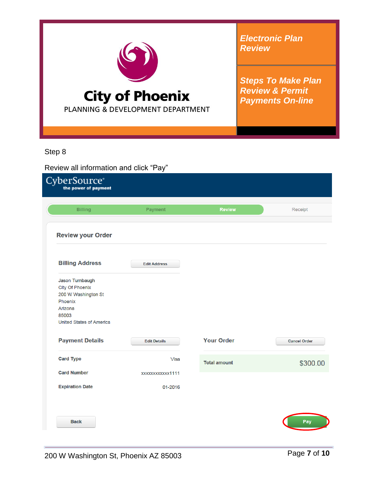

*Steps To Make Plan Review & Permit Payments On-line*

Step 8

# Review all information and click "Pay"

| CyberSource®<br>the power of payment          |                     |                     |                     |  |  |  |
|-----------------------------------------------|---------------------|---------------------|---------------------|--|--|--|
| <b>Billing</b>                                | <b>Payment</b>      | <b>Review</b>       | Receipt             |  |  |  |
|                                               |                     |                     |                     |  |  |  |
| <b>Review your Order</b>                      |                     |                     |                     |  |  |  |
| <b>Billing Address</b>                        | <b>Edit Address</b> |                     |                     |  |  |  |
| Jason Turnbaugh                               |                     |                     |                     |  |  |  |
| <b>City Of Phoenix</b><br>200 W Washington St |                     |                     |                     |  |  |  |
| Phoenix<br>Arizona                            |                     |                     |                     |  |  |  |
| 85003                                         |                     |                     |                     |  |  |  |
| <b>United States of America</b>               |                     |                     |                     |  |  |  |
| <b>Payment Details</b>                        | <b>Edit Details</b> | <b>Your Order</b>   | <b>Cancel Order</b> |  |  |  |
| <b>Card Type</b>                              | Visa                | <b>Total amount</b> | \$300.00            |  |  |  |
| <b>Card Number</b>                            | xxxxxxxxxxx1111     |                     |                     |  |  |  |
| <b>Expiration Date</b>                        | 01-2016             |                     |                     |  |  |  |
|                                               |                     |                     |                     |  |  |  |
| <b>Back</b>                                   |                     |                     | Pay                 |  |  |  |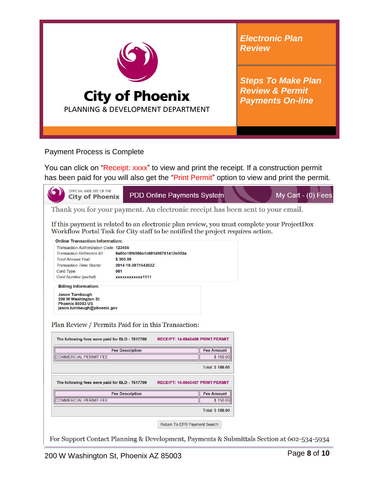

*Steps To Make Plan Review & Permit Payments On-line*

Payment Process is Complete

You can click on "Receipt: xxxx" to view and print the receipt. If a construction permit has been paid for you will also get the "Print Permit" option to view and print the permit.

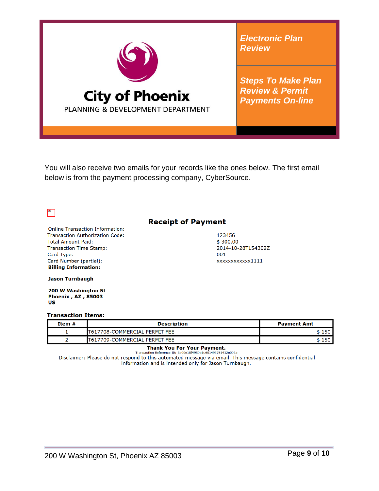

*Steps To Make Plan Review & Permit Payments On-line*

You will also receive two emails for your records like the ones below. The first email below is from the payment processing company, CyberSource.

 $\mathbf{x}$ 

# **Receipt of Payment**

**Online Transaction Information: Transaction Authorization Code: Total Amount Paid: Transaction Time Stamp:** Card Type: Card Number (partial): **Billing Information:** 

123456  $$300.00$ 2014-10-28T154302Z 001 xxxxxxxxxxx1111

**Jason Turnbaugh** 

200 W Washington St Phoenix, AZ, 85003 **US** 

#### **Transaction Items:**

| Item $#$ | Description                    | <b>Payment Amt</b> |  |
|----------|--------------------------------|--------------------|--|
|          | IT617708-COMMERCIAL PERMIT FEE | 150                |  |
|          | T617709-COMMERCIAL PERMIT FEE  | 150                |  |

#### Thank You For Your Payment. Transaction Reference ID: 8a00e10f4950a1c601495761412e003a

Disclaimer: Please do not respond to this automated message via email. This message contains confidential information and is intended only for Jason Turnbaugh.